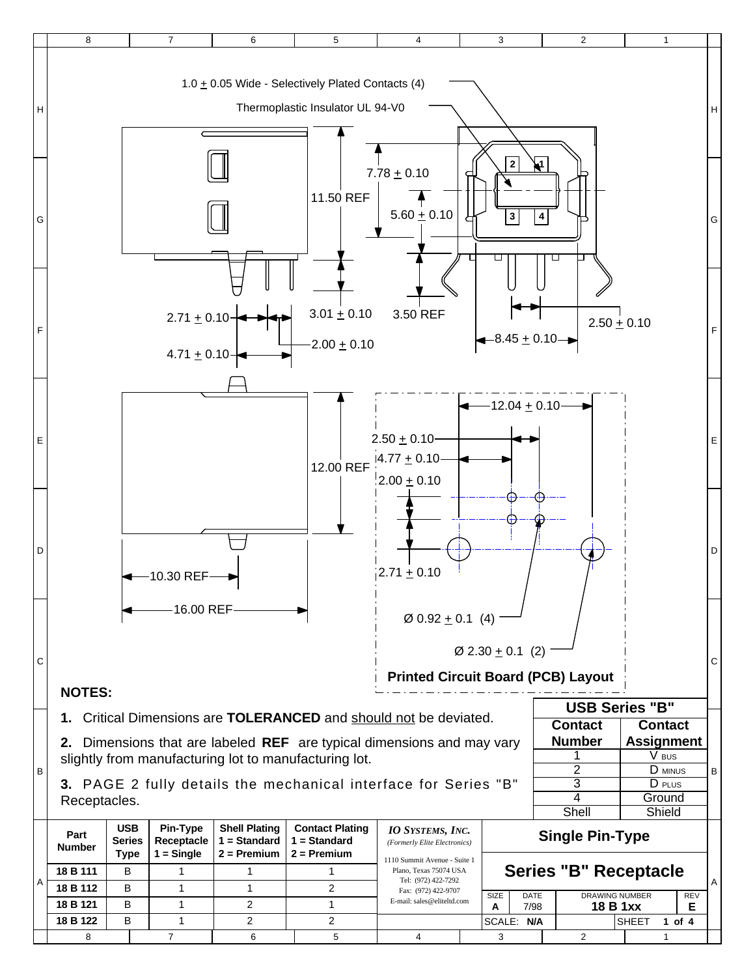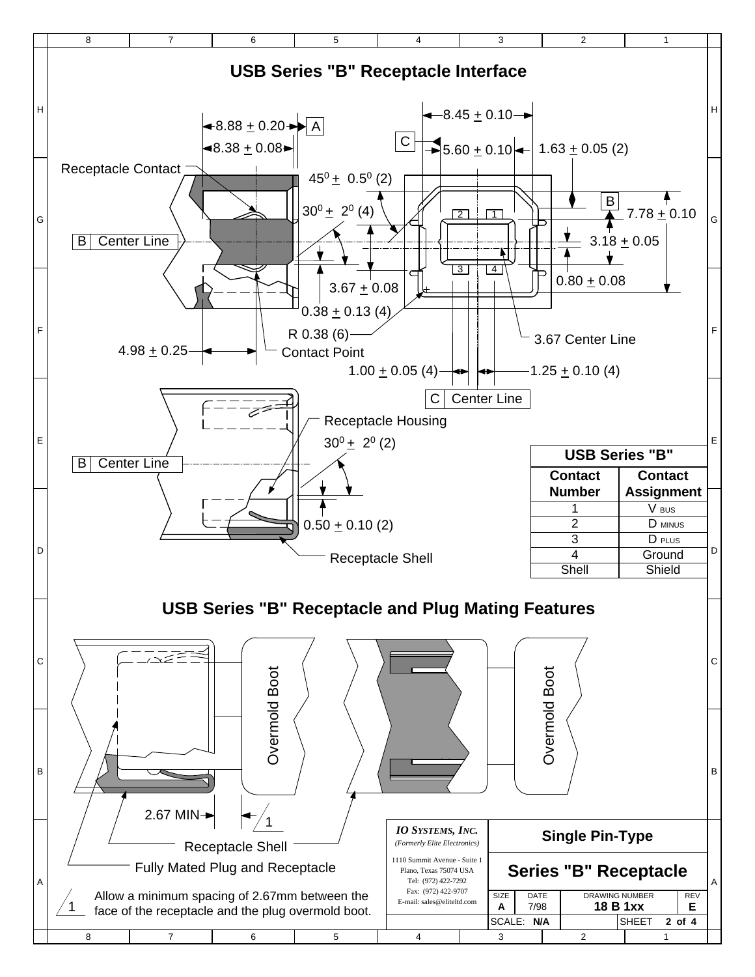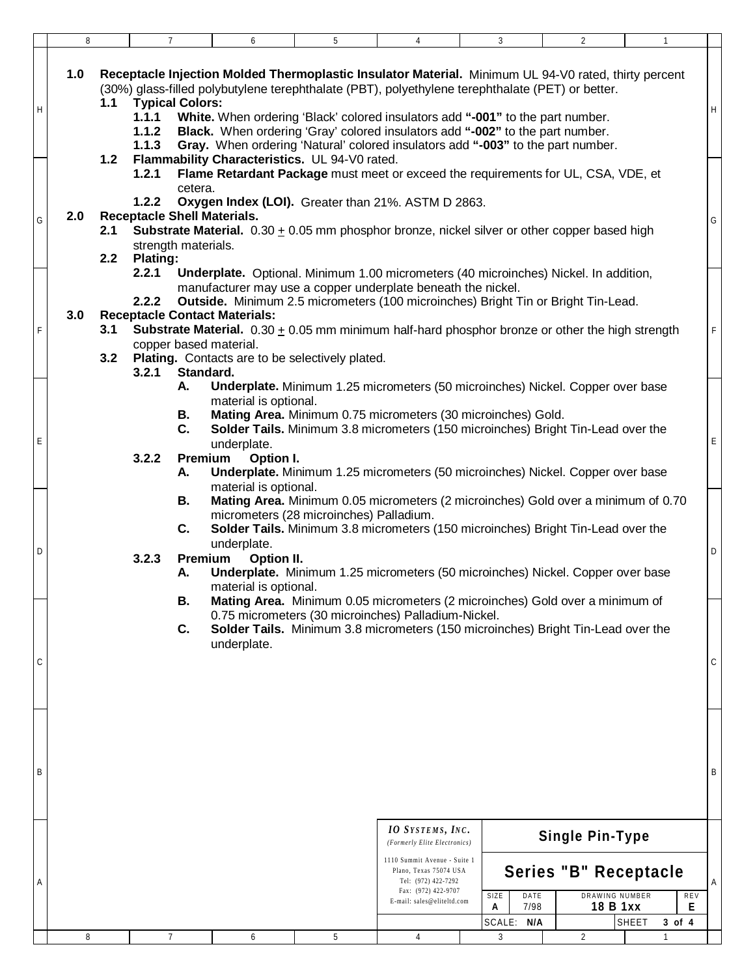|   | 8                                                                                                                                                                                                                                                                                                                                                                                                                                                                                                                                                                                         | $\overline{7}$                                                                                            | 6                                                                                                                                | 5 | 4                                                                                                                                                                                             | 3                                       | $\overline{2}$                                                                                                                                                                                                                                          | $\mathbf{1}$                       |   |  |  |
|---|-------------------------------------------------------------------------------------------------------------------------------------------------------------------------------------------------------------------------------------------------------------------------------------------------------------------------------------------------------------------------------------------------------------------------------------------------------------------------------------------------------------------------------------------------------------------------------------------|-----------------------------------------------------------------------------------------------------------|----------------------------------------------------------------------------------------------------------------------------------|---|-----------------------------------------------------------------------------------------------------------------------------------------------------------------------------------------------|-----------------------------------------|---------------------------------------------------------------------------------------------------------------------------------------------------------------------------------------------------------------------------------------------------------|------------------------------------|---|--|--|
| Η | 1.0<br>Receptacle Injection Molded Thermoplastic Insulator Material. Minimum UL 94-V0 rated, thirty percent<br>(30%) glass-filled polybutylene terephthalate (PBT), polyethylene terephthalate (PET) or better.<br><b>Typical Colors:</b><br>1.1<br>1.1.1<br>White. When ordering 'Black' colored insulators add "-001" to the part number.<br>Black. When ordering 'Gray' colored insulators add "-002" to the part number.<br>1.1.2<br>1.1.3<br>Gray. When ordering 'Natural' colored insulators add "-003" to the part number.<br>Flammability Characteristics. UL 94-V0 rated.<br>1.2 |                                                                                                           |                                                                                                                                  |   |                                                                                                                                                                                               |                                         |                                                                                                                                                                                                                                                         |                                    |   |  |  |
| G | 2.0<br>2.1<br>2.2                                                                                                                                                                                                                                                                                                                                                                                                                                                                                                                                                                         | 1.2.1<br>cetera.<br>1.2.2<br><b>Receptacle Shell Materials.</b><br>strength materials.<br><b>Plating:</b> | Oxygen Index (LOI). Greater than 21%. ASTM D 2863.                                                                               |   |                                                                                                                                                                                               |                                         | Flame Retardant Package must meet or exceed the requirements for UL, CSA, VDE, et<br><b>Substrate Material.</b> $0.30 \pm 0.05$ mm phosphor bronze, nickel silver or other copper based high                                                            |                                    | G |  |  |
| F | 2.2.1<br>Underplate. Optional. Minimum 1.00 micrometers (40 microinches) Nickel. In addition,<br>manufacturer may use a copper underplate beneath the nickel.<br>2.2.2<br>Outside. Minimum 2.5 micrometers (100 microinches) Bright Tin or Bright Tin-Lead.<br>3.0<br><b>Receptacle Contact Materials:</b><br><b>Substrate Material.</b> $0.30 \pm 0.05$ mm minimum half-hard phosphor bronze or other the high strength<br>3.1<br>copper based material.<br>3.2 Plating. Contacts are to be selectively plated.<br>Standard.                                                             |                                                                                                           |                                                                                                                                  |   |                                                                                                                                                                                               |                                         |                                                                                                                                                                                                                                                         |                                    |   |  |  |
| E |                                                                                                                                                                                                                                                                                                                                                                                                                                                                                                                                                                                           | 3.2.1<br>Α.<br>В.<br>C.<br>3.2.2<br>А.                                                                    | material is optional.<br>Mating Area. Minimum 0.75 micrometers (30 microinches) Gold.<br>underplate.<br>Premium - Option I.      |   |                                                                                                                                                                                               |                                         | Underplate. Minimum 1.25 micrometers (50 microinches) Nickel. Copper over base<br>Solder Tails. Minimum 3.8 micrometers (150 microinches) Bright Tin-Lead over the<br>Underplate. Minimum 1.25 micrometers (50 microinches) Nickel. Copper over base    |                                    | Е |  |  |
| D |                                                                                                                                                                                                                                                                                                                                                                                                                                                                                                                                                                                           | В.<br>C.<br>3.2.3<br>А.                                                                                   | material is optional.<br>micrometers (28 microinches) Palladium.<br>underplate.<br>Premium - Option II.<br>material is optional. |   |                                                                                                                                                                                               |                                         | Mating Area. Minimum 0.05 micrometers (2 microinches) Gold over a minimum of 0.70<br>Solder Tails. Minimum 3.8 micrometers (150 microinches) Bright Tin-Lead over the<br>Underplate. Minimum 1.25 micrometers (50 microinches) Nickel. Copper over base |                                    | D |  |  |
| C | Mating Area. Minimum 0.05 micrometers (2 microinches) Gold over a minimum of<br>В.<br>0.75 micrometers (30 microinches) Palladium-Nickel.<br>C.<br>Solder Tails. Minimum 3.8 micrometers (150 microinches) Bright Tin-Lead over the<br>underplate.                                                                                                                                                                                                                                                                                                                                        |                                                                                                           |                                                                                                                                  |   |                                                                                                                                                                                               |                                         |                                                                                                                                                                                                                                                         |                                    |   |  |  |
| B |                                                                                                                                                                                                                                                                                                                                                                                                                                                                                                                                                                                           |                                                                                                           |                                                                                                                                  |   |                                                                                                                                                                                               |                                         |                                                                                                                                                                                                                                                         |                                    | B |  |  |
| A |                                                                                                                                                                                                                                                                                                                                                                                                                                                                                                                                                                                           |                                                                                                           |                                                                                                                                  |   | <b>IO</b> SYSTEMS, INC.<br>(Formerly Elite Electronics)<br>1110 Summit Avenue - Suite 1<br>Plano, Texas 75074 USA<br>Tel: (972) 422-7292<br>Fax: (972) 422-9707<br>E-mail: sales@eliteltd.com | SIZE<br>DATE<br>7/98<br>Α<br>SCALE: N/A | <b>Single Pin-Type</b><br>Series "B" Receptacle<br>DRAWING NUMBER<br>18 B 1xx                                                                                                                                                                           | REV<br>Е<br><b>SHEET</b><br>3 of 4 |   |  |  |
|   | 8                                                                                                                                                                                                                                                                                                                                                                                                                                                                                                                                                                                         | 7                                                                                                         | 6                                                                                                                                | 5 | 4                                                                                                                                                                                             | 3                                       | 2                                                                                                                                                                                                                                                       |                                    |   |  |  |
|   |                                                                                                                                                                                                                                                                                                                                                                                                                                                                                                                                                                                           |                                                                                                           |                                                                                                                                  |   |                                                                                                                                                                                               |                                         |                                                                                                                                                                                                                                                         |                                    |   |  |  |